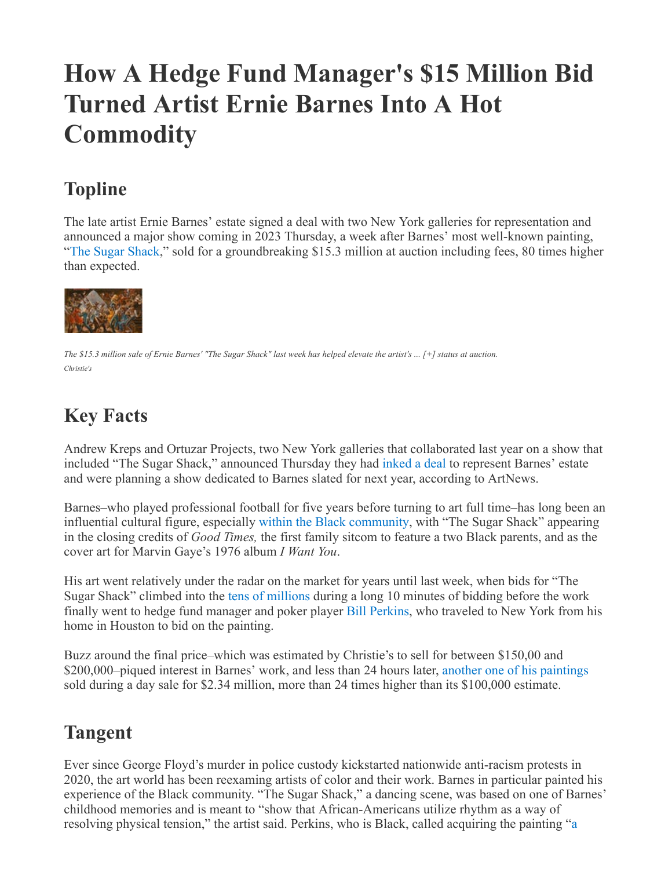# **How A Hedge Fund Manager's \$15 Million Bid Turned Artist Ernie Barnes Into A Hot Commodity**

# **Topline**

The late artist Ernie Barnes' estate signed a deal with two New York galleries for representation and announced a major show coming in 2023 Thursday, a week after Barnes' most well-known painting, "[The Sugar Shack](https://www.christies.com/lot/lot-6368793)," sold for a groundbreaking \$15.3 million at auction including fees, 80 times higher than expected.



The \$15.3 million sale of Ernie Barnes' "The Sugar Shack" last week has helped elevate the artist's ... [+] status at auction. *Christie's*

## **Key Facts**

Andrew Kreps and Ortuzar Projects, two New York galleries that collaborated last year on a show that included "The Sugar Shack," announced Thursday they had [inked a deal](https://www.artnews.com/art-news/news/ernie-barnes-estate-andrew-kreps-gallery-ortuzar-projects-1234629108/) to represent Barnes' estate and were planning a show dedicated to Barnes slated for next year, according to ArtNews.

Barnes–who played professional football for five years before turning to art full time–has long been an influential cultural figure, especially [within the Black community,](https://news.artnet.com/market/the-secrets-out-bill-perkins-buyer-of-record-smashing-ernie-barnes-painting-at-christies-tells-us-about-his-winning-evening-2114857) with "The Sugar Shack" appearing in the closing credits of *Good Times,* the first family sitcom to feature a two Black parents, and as the cover art for Marvin Gaye's 1976 album *I Want You*.

His art went relatively under the radar on the market for years until last week, when bids for "The Sugar Shack" climbed into the [tens of millions](https://www.christies.com/lot/lot-6368793) during a long 10 minutes of bidding before the work finally went to hedge fund manager and poker player [Bill Perkins,](https://www.instagram.com/p/Cdeso6Sobjx/) who traveled to New York from his home in Houston to bid on the painting.

Buzz around the final price–which was estimated by Christie's to sell for between \$150,00 and \$200,000–piqued interest in Barnes' work, and less than 24 hours later, [another one of his paintings](https://www.christies.com/lot/lot-6369827) sold during a day sale for \$2.34 million, more than 24 times higher than its \$100,000 estimate.

### **Tangent**

Ever since George Floyd's murder in police custody kickstarted nationwide anti-racism protests in 2020, the art world has been reexaming artists of color and their work. Barnes in particular painted his experience of the Black community. "The Sugar Shack," a dancing scene, was based on one of Barnes' childhood memories and is meant to "show that African-Americans utilize rhythm as a way of [resolving physical tension," the artist said. Perkins, who is Black, called acquiring the painting "a](https://www.instagram.com/p/Cdeso6Sobjx/)